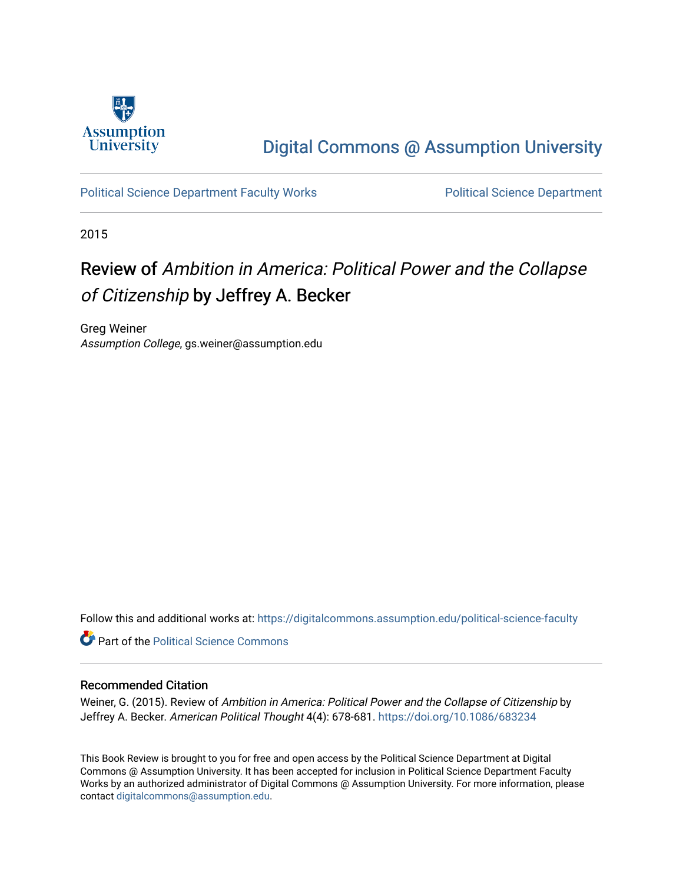

## [Digital Commons @ Assumption University](https://digitalcommons.assumption.edu/)

[Political Science Department Faculty Works](https://digitalcommons.assumption.edu/political-science-faculty) **Political Science Department** 

2015

## Review of Ambition in America: Political Power and the Collapse of Citizenship by Jeffrey A. Becker

Greg Weiner Assumption College, gs.weiner@assumption.edu

Follow this and additional works at: [https://digitalcommons.assumption.edu/political-science-faculty](https://digitalcommons.assumption.edu/political-science-faculty?utm_source=digitalcommons.assumption.edu%2Fpolitical-science-faculty%2F72&utm_medium=PDF&utm_campaign=PDFCoverPages)

**Part of the Political Science Commons** 

## Recommended Citation

Weiner, G. (2015). Review of Ambition in America: Political Power and the Collapse of Citizenship by Jeffrey A. Becker. American Political Thought 4(4): 678-681.<https://doi.org/10.1086/683234>

This Book Review is brought to you for free and open access by the Political Science Department at Digital Commons @ Assumption University. It has been accepted for inclusion in Political Science Department Faculty Works by an authorized administrator of Digital Commons @ Assumption University. For more information, please contact [digitalcommons@assumption.edu.](mailto:digitalcommons@assumption.edu)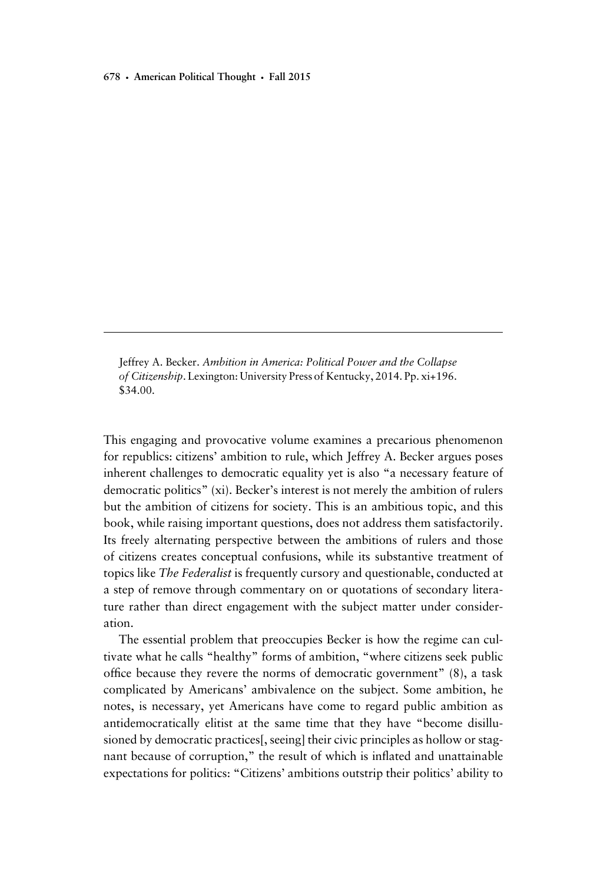Jeffrey A. Becker. Ambition in America: Political Power and the Collapse of Citizenship. Lexington: University Press of Kentucky, 2014. Pp. xi+196. \$34.00.

This engaging and provocative volume examines a precarious phenomenon for republics: citizens' ambition to rule, which Jeffrey A. Becker argues poses inherent challenges to democratic equality yet is also "a necessary feature of democratic politics" (xi). Becker's interest is not merely the ambition of rulers but the ambition of citizens for society. This is an ambitious topic, and this book, while raising important questions, does not address them satisfactorily. Its freely alternating perspective between the ambitions of rulers and those of citizens creates conceptual confusions, while its substantive treatment of topics like The Federalist is frequently cursory and questionable, conducted at a step of remove through commentary on or quotations of secondary literature rather than direct engagement with the subject matter under consideration.

The essential problem that preoccupies Becker is how the regime can cultivate what he calls "healthy" forms of ambition, "where citizens seek public office because they revere the norms of democratic government" (8), a task complicated by Americans' ambivalence on the subject. Some ambition, he notes, is necessary, yet Americans have come to regard public ambition as antidemocratically elitist at the same time that they have "become disillusioned by democratic practices[, seeing] their civic principles as hollow or stagnant because of corruption," the result of which is inflated and unattainable expectations for politics: "Citizens' ambitions outstrip their politics' ability to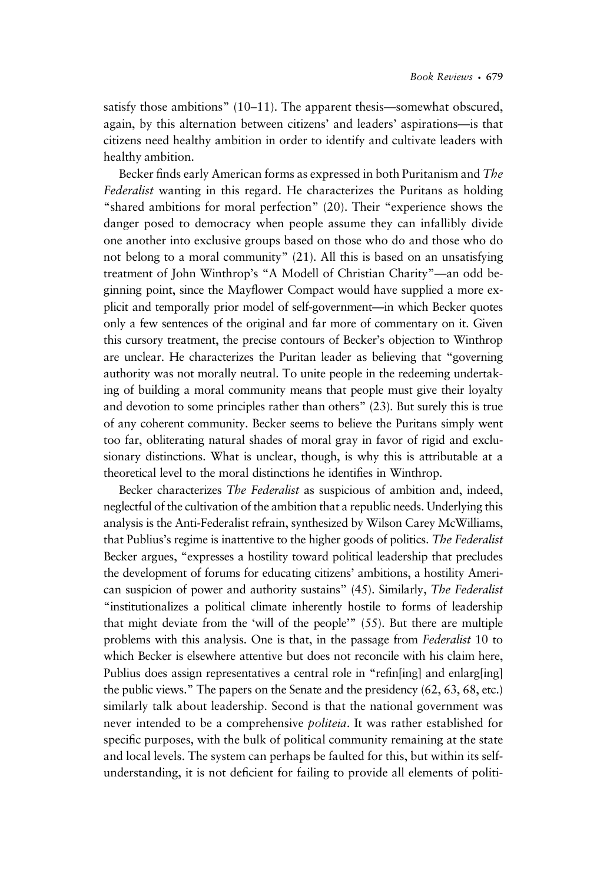satisfy those ambitions" (10–11). The apparent thesis—somewhat obscured, again, by this alternation between citizens' and leaders' aspirations—is that citizens need healthy ambition in order to identify and cultivate leaders with healthy ambition.

Becker finds early American forms as expressed in both Puritanism and The Federalist wanting in this regard. He characterizes the Puritans as holding "shared ambitions for moral perfection" (20). Their "experience shows the danger posed to democracy when people assume they can infallibly divide one another into exclusive groups based on those who do and those who do not belong to a moral community" (21). All this is based on an unsatisfying treatment of John Winthrop's "A Modell of Christian Charity"—an odd beginning point, since the Mayflower Compact would have supplied a more explicit and temporally prior model of self-government—in which Becker quotes only a few sentences of the original and far more of commentary on it. Given this cursory treatment, the precise contours of Becker's objection to Winthrop are unclear. He characterizes the Puritan leader as believing that "governing authority was not morally neutral. To unite people in the redeeming undertaking of building a moral community means that people must give their loyalty and devotion to some principles rather than others" (23). But surely this is true of any coherent community. Becker seems to believe the Puritans simply went too far, obliterating natural shades of moral gray in favor of rigid and exclusionary distinctions. What is unclear, though, is why this is attributable at a theoretical level to the moral distinctions he identifies in Winthrop.

Becker characterizes *The Federalist* as suspicious of ambition and, indeed, neglectful of the cultivation of the ambition that a republic needs. Underlying this analysis is the Anti-Federalist refrain, synthesized by Wilson Carey McWilliams, that Publius's regime is inattentive to the higher goods of politics. The Federalist Becker argues, "expresses a hostility toward political leadership that precludes the development of forums for educating citizens' ambitions, a hostility American suspicion of power and authority sustains" (45). Similarly, The Federalist "institutionalizes a political climate inherently hostile to forms of leadership that might deviate from the 'will of the people'" (55). But there are multiple problems with this analysis. One is that, in the passage from Federalist 10 to which Becker is elsewhere attentive but does not reconcile with his claim here, Publius does assign representatives a central role in "refin[ing] and enlarg[ing] the public views." The papers on the Senate and the presidency (62, 63, 68, etc.) similarly talk about leadership. Second is that the national government was never intended to be a comprehensive *politeia*. It was rather established for specific purposes, with the bulk of political community remaining at the state and local levels. The system can perhaps be faulted for this, but within its selfunderstanding, it is not deficient for failing to provide all elements of politi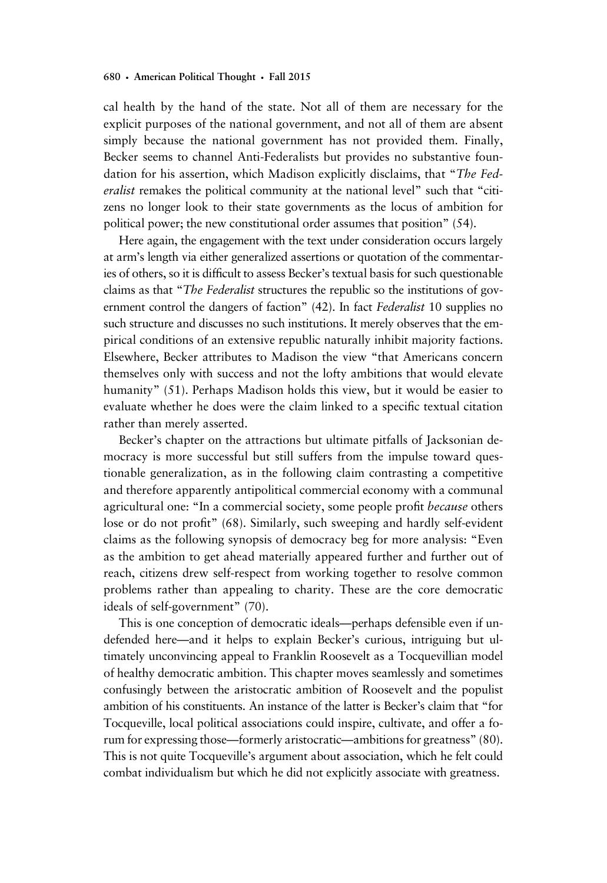cal health by the hand of the state. Not all of them are necessary for the explicit purposes of the national government, and not all of them are absent simply because the national government has not provided them. Finally, Becker seems to channel Anti-Federalists but provides no substantive foundation for his assertion, which Madison explicitly disclaims, that "The Federalist remakes the political community at the national level" such that "citizens no longer look to their state governments as the locus of ambition for political power; the new constitutional order assumes that position" (54).

Here again, the engagement with the text under consideration occurs largely at arm's length via either generalized assertions or quotation of the commentaries of others, so it is difficult to assess Becker's textual basis for such questionable claims as that "The Federalist structures the republic so the institutions of government control the dangers of faction" (42). In fact Federalist 10 supplies no such structure and discusses no such institutions. It merely observes that the empirical conditions of an extensive republic naturally inhibit majority factions. Elsewhere, Becker attributes to Madison the view "that Americans concern themselves only with success and not the lofty ambitions that would elevate humanity" (51). Perhaps Madison holds this view, but it would be easier to evaluate whether he does were the claim linked to a specific textual citation rather than merely asserted.

Becker's chapter on the attractions but ultimate pitfalls of Jacksonian democracy is more successful but still suffers from the impulse toward questionable generalization, as in the following claim contrasting a competitive and therefore apparently antipolitical commercial economy with a communal agricultural one: "In a commercial society, some people profit because others lose or do not profit" (68). Similarly, such sweeping and hardly self-evident claims as the following synopsis of democracy beg for more analysis: "Even as the ambition to get ahead materially appeared further and further out of reach, citizens drew self-respect from working together to resolve common problems rather than appealing to charity. These are the core democratic ideals of self-government" (70).

This is one conception of democratic ideals—perhaps defensible even if undefended here—and it helps to explain Becker's curious, intriguing but ultimately unconvincing appeal to Franklin Roosevelt as a Tocquevillian model of healthy democratic ambition. This chapter moves seamlessly and sometimes confusingly between the aristocratic ambition of Roosevelt and the populist ambition of his constituents. An instance of the latter is Becker's claim that "for Tocqueville, local political associations could inspire, cultivate, and offer a forum for expressing those—formerly aristocratic—ambitions for greatness" (80). This is not quite Tocqueville's argument about association, which he felt could combat individualism but which he did not explicitly associate with greatness.